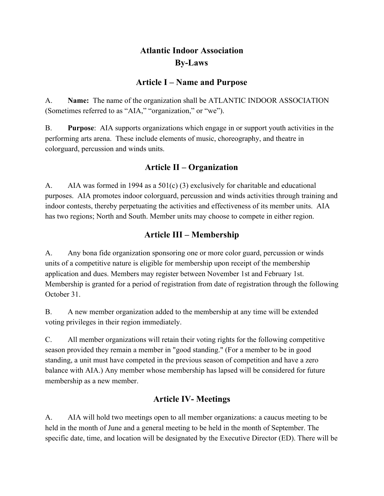# **Atlantic Indoor Association By-Laws**

## **Article I – Name and Purpose**

A. **Name:** The name of the organization shall be ATLANTIC INDOOR ASSOCIATION (Sometimes referred to as "AIA," "organization," or "we").

B. **Purpose**: AIA supports organizations which engage in or support youth activities in the performing arts arena. These include elements of music, choreography, and theatre in colorguard, percussion and winds units.

## **Article II – Organization**

A. AIA was formed in 1994 as a 501(c) (3) exclusively for charitable and educational purposes. AIA promotes indoor colorguard, percussion and winds activities through training and indoor contests, thereby perpetuating the activities and effectiveness of its member units. AIA has two regions; North and South. Member units may choose to compete in either region.

## **Article III – Membership**

A. Any bona fide organization sponsoring one or more color guard, percussion or winds units of a competitive nature is eligible for membership upon receipt of the membership application and dues. Members may register between November 1st and February 1st. Membership is granted for a period of registration from date of registration through the following October 31.

B. A new member organization added to the membership at any time will be extended voting privileges in their region immediately.

C. All member organizations will retain their voting rights for the following competitive season provided they remain a member in "good standing." (For a member to be in good standing, a unit must have competed in the previous season of competition and have a zero balance with AIA.) Any member whose membership has lapsed will be considered for future membership as a new member.

# **Article IV- Meetings**

A. AIA will hold two meetings open to all member organizations: a caucus meeting to be held in the month of June and a general meeting to be held in the month of September. The specific date, time, and location will be designated by the Executive Director (ED). There will be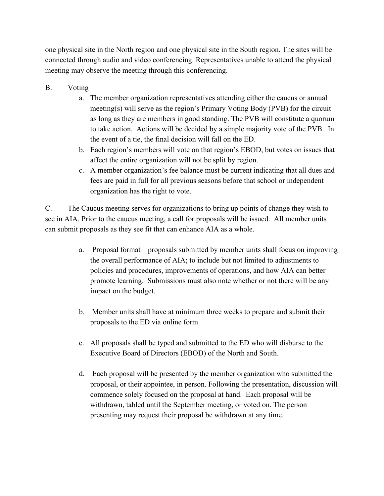one physical site in the North region and one physical site in the South region. The sites will be connected through audio and video conferencing. Representatives unable to attend the physical meeting may observe the meeting through this conferencing.

- B. Voting
	- a. The member organization representatives attending either the caucus or annual meeting(s) will serve as the region's Primary Voting Body (PVB) for the circuit as long as they are members in good standing. The PVB will constitute a quorum to take action. Actions will be decided by a simple majority vote of the PVB. In the event of a tie, the final decision will fall on the ED.
	- b. Each region's members will vote on that region's EBOD, but votes on issues that affect the entire organization will not be split by region.
	- c. A member organization's fee balance must be current indicating that all dues and fees are paid in full for all previous seasons before that school or independent organization has the right to vote.

C. The Caucus meeting serves for organizations to bring up points of change they wish to see in AIA. Prior to the caucus meeting, a call for proposals will be issued. All member units can submit proposals as they see fit that can enhance AIA as a whole.

- a. Proposal format proposals submitted by member units shall focus on improving the overall performance of AIA; to include but not limited to adjustments to policies and procedures, improvements of operations, and how AIA can better promote learning. Submissions must also note whether or not there will be any impact on the budget.
- b. Member units shall have at minimum three weeks to prepare and submit their proposals to the ED via online form.
- c. All proposals shall be typed and submitted to the ED who will disburse to the Executive Board of Directors (EBOD) of the North and South.
- d. Each proposal will be presented by the member organization who submitted the proposal, or their appointee, in person. Following the presentation, discussion will commence solely focused on the proposal at hand. Each proposal will be withdrawn, tabled until the September meeting, or voted on. The person presenting may request their proposal be withdrawn at any time.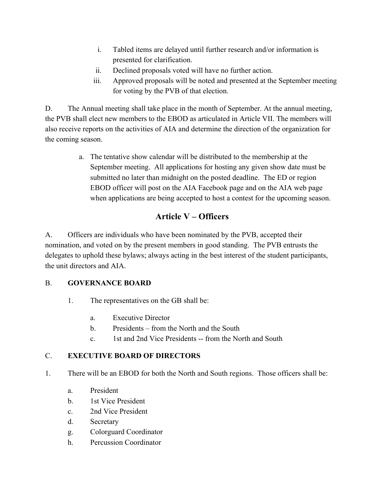- i. Tabled items are delayed until further research and/or information is presented for clarification.
- ii. Declined proposals voted will have no further action.
- iii. Approved proposals will be noted and presented at the September meeting for voting by the PVB of that election.

D. The Annual meeting shall take place in the month of September. At the annual meeting, the PVB shall elect new members to the EBOD as articulated in Article VII. The members will also receive reports on the activities of AIA and determine the direction of the organization for the coming season.

> a. The tentative show calendar will be distributed to the membership at the September meeting. All applications for hosting any given show date must be submitted no later than midnight on the posted deadline. The ED or region EBOD officer will post on the AIA Facebook page and on the AIA web page when applications are being accepted to host a contest for the upcoming season.

# **Article V – Officers**

A. Officers are individuals who have been nominated by the PVB, accepted their nomination, and voted on by the present members in good standing. The PVB entrusts the delegates to uphold these bylaws; always acting in the best interest of the student participants, the unit directors and AIA.

#### B. **GOVERNANCE BOARD**

- 1. The representatives on the GB shall be:
	- a. Executive Director
	- b. Presidents from the North and the South
	- c. 1st and 2nd Vice Presidents -- from the North and South

### C. **EXECUTIVE BOARD OF DIRECTORS**

- 1. There will be an EBOD for both the North and South regions. Those officers shall be:
	- a. President
	- b. 1st Vice President
	- c. 2nd Vice President
	- d. Secretary
	- g. Colorguard Coordinator
	- h. Percussion Coordinator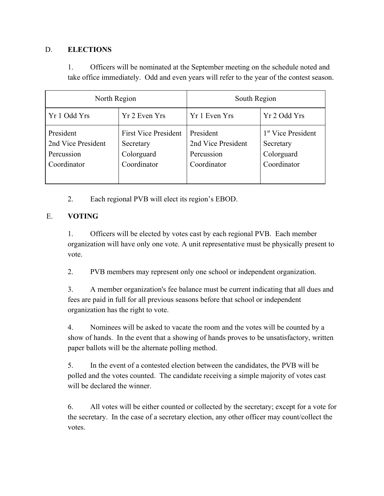#### D. **ELECTIONS**

1. Officers will be nominated at the September meeting on the schedule noted and take office immediately. Odd and even years will refer to the year of the contest season.

| North Region                                                 |                                                                       | South Region                                                 |                                                                          |
|--------------------------------------------------------------|-----------------------------------------------------------------------|--------------------------------------------------------------|--------------------------------------------------------------------------|
| Yr 1 Odd Yrs                                                 | Yr 2 Even Yrs                                                         | Yr 1 Even Yrs                                                | Yr 2 Odd Yrs                                                             |
| President<br>2nd Vice President<br>Percussion<br>Coordinator | <b>First Vice President</b><br>Secretary<br>Colorguard<br>Coordinator | President<br>2nd Vice President<br>Percussion<br>Coordinator | 1 <sup>st</sup> Vice President<br>Secretary<br>Colorguard<br>Coordinator |

2. Each regional PVB will elect its region's EBOD.

### E. **VOTING**

1. Officers will be elected by votes cast by each regional PVB. Each member organization will have only one vote. A unit representative must be physically present to vote.

2. PVB members may represent only one school or independent organization.

3. A member organization's fee balance must be current indicating that all dues and fees are paid in full for all previous seasons before that school or independent organization has the right to vote.

4. Nominees will be asked to vacate the room and the votes will be counted by a show of hands. In the event that a showing of hands proves to be unsatisfactory, written paper ballots will be the alternate polling method.

5. In the event of a contested election between the candidates, the PVB will be polled and the votes counted. The candidate receiving a simple majority of votes cast will be declared the winner.

6. All votes will be either counted or collected by the secretary; except for a vote for the secretary. In the case of a secretary election, any other officer may count/collect the votes.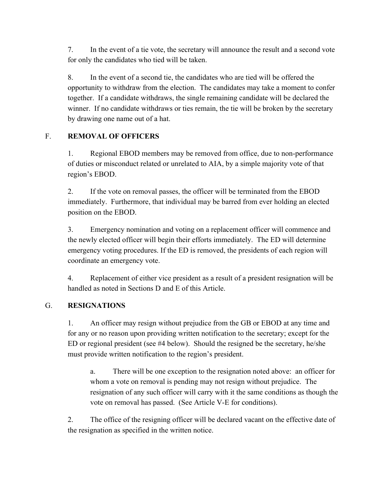7. In the event of a tie vote, the secretary will announce the result and a second vote for only the candidates who tied will be taken.

8. In the event of a second tie, the candidates who are tied will be offered the opportunity to withdraw from the election. The candidates may take a moment to confer together. If a candidate withdraws, the single remaining candidate will be declared the winner. If no candidate withdraws or ties remain, the tie will be broken by the secretary by drawing one name out of a hat.

## F. **REMOVAL OF OFFICERS**

1. Regional EBOD members may be removed from office, due to non-performance of duties or misconduct related or unrelated to AIA, by a simple majority vote of that region's EBOD.

2. If the vote on removal passes, the officer will be terminated from the EBOD immediately. Furthermore, that individual may be barred from ever holding an elected position on the EBOD.

3. Emergency nomination and voting on a replacement officer will commence and the newly elected officer will begin their efforts immediately. The ED will determine emergency voting procedures. If the ED is removed, the presidents of each region will coordinate an emergency vote.

4. Replacement of either vice president as a result of a president resignation will be handled as noted in Sections D and E of this Article.

### G. **RESIGNATIONS**

1. An officer may resign without prejudice from the GB or EBOD at any time and for any or no reason upon providing written notification to the secretary; except for the ED or regional president (see #4 below). Should the resigned be the secretary, he/she must provide written notification to the region's president.

a. There will be one exception to the resignation noted above: an officer for whom a vote on removal is pending may not resign without prejudice. The resignation of any such officer will carry with it the same conditions as though the vote on removal has passed. (See Article V-E for conditions).

2. The office of the resigning officer will be declared vacant on the effective date of the resignation as specified in the written notice.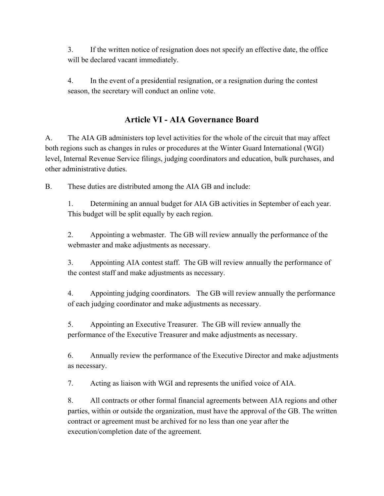3. If the written notice of resignation does not specify an effective date, the office will be declared vacant immediately.

4. In the event of a presidential resignation, or a resignation during the contest season, the secretary will conduct an online vote.

# **Article VI - AIA Governance Board**

A. The AIA GB administers top level activities for the whole of the circuit that may affect both regions such as changes in rules or procedures at the Winter Guard International (WGI) level, Internal Revenue Service filings, judging coordinators and education, bulk purchases, and other administrative duties.

B. These duties are distributed among the AIA GB and include:

1. Determining an annual budget for AIA GB activities in September of each year. This budget will be split equally by each region.

2. Appointing a webmaster. The GB will review annually the performance of the webmaster and make adjustments as necessary.

3. Appointing AIA contest staff. The GB will review annually the performance of the contest staff and make adjustments as necessary.

4. Appointing judging coordinators. The GB will review annually the performance of each judging coordinator and make adjustments as necessary.

5. Appointing an Executive Treasurer. The GB will review annually the performance of the Executive Treasurer and make adjustments as necessary.

6. Annually review the performance of the Executive Director and make adjustments as necessary.

7. Acting as liaison with WGI and represents the unified voice of AIA.

8. All contracts or other formal financial agreements between AIA regions and other parties, within or outside the organization, must have the approval of the GB. The written contract or agreement must be archived for no less than one year after the execution/completion date of the agreement.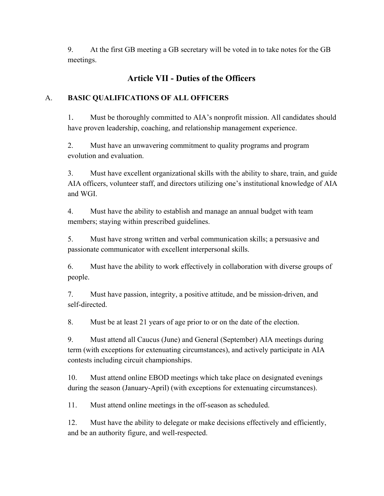9. At the first GB meeting a GB secretary will be voted in to take notes for the GB meetings.

# **Article VII - Duties of the Officers**

## A. **BASIC QUALIFICATIONS OF ALL OFFICERS**

1. Must be thoroughly committed to AIA's nonprofit mission. All candidates should have proven leadership, coaching, and relationship management experience.

2. Must have an unwavering commitment to quality programs and program evolution and evaluation.

3. Must have excellent organizational skills with the ability to share, train, and guide AIA officers, volunteer staff, and directors utilizing one's institutional knowledge of AIA and WGI.

4. Must have the ability to establish and manage an annual budget with team members; staying within prescribed guidelines.

5. Must have strong written and verbal communication skills; a persuasive and passionate communicator with excellent interpersonal skills.

6. Must have the ability to work effectively in collaboration with diverse groups of people.

7. Must have passion, integrity, a positive attitude, and be mission-driven, and self-directed.

8. Must be at least 21 years of age prior to or on the date of the election.

9. Must attend all Caucus (June) and General (September) AIA meetings during term (with exceptions for extenuating circumstances), and actively participate in AIA contests including circuit championships.

10. Must attend online EBOD meetings which take place on designated evenings during the season (January-April) (with exceptions for extenuating circumstances).

11. Must attend online meetings in the off-season as scheduled.

12. Must have the ability to delegate or make decisions effectively and efficiently, and be an authority figure, and well-respected.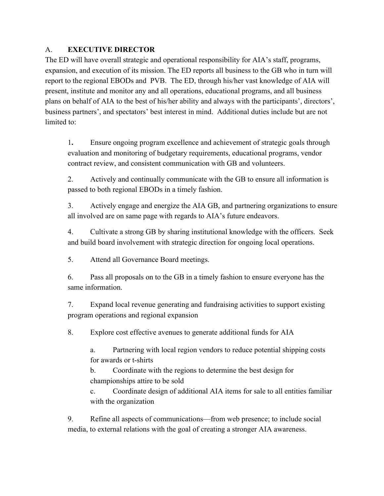## A. **EXECUTIVE DIRECTOR**

The ED will have overall strategic and operational responsibility for AIA's staff, programs, expansion, and execution of its mission. The ED reports all business to the GB who in turn will report to the regional EBODs and PVB. The ED, through his/her vast knowledge of AIA will present, institute and monitor any and all operations, educational programs, and all business plans on behalf of AIA to the best of his/her ability and always with the participants', directors', business partners', and spectators' best interest in mind. Additional duties include but are not limited to:

1**.** Ensure ongoing program excellence and achievement of strategic goals through evaluation and monitoring of budgetary requirements, educational programs, vendor contract review, and consistent communication with GB and volunteers.

2. Actively and continually communicate with the GB to ensure all information is passed to both regional EBODs in a timely fashion.

3. Actively engage and energize the AIA GB, and partnering organizations to ensure all involved are on same page with regards to AIA's future endeavors.

4. Cultivate a strong GB by sharing institutional knowledge with the officers. Seek and build board involvement with strategic direction for ongoing local operations.

5. Attend all Governance Board meetings.

6. Pass all proposals on to the GB in a timely fashion to ensure everyone has the same information.

7. Expand local revenue generating and fundraising activities to support existing program operations and regional expansion

8. Explore cost effective avenues to generate additional funds for AIA

a. Partnering with local region vendors to reduce potential shipping costs for awards or t-shirts

b. Coordinate with the regions to determine the best design for championships attire to be sold

c. Coordinate design of additional AIA items for sale to all entities familiar with the organization

9. Refine all aspects of communications—from web presence; to include social media, to external relations with the goal of creating a stronger AIA awareness.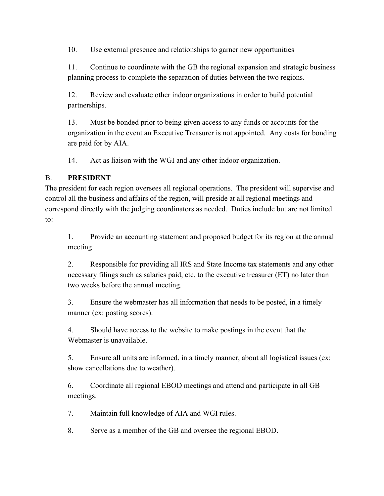10. Use external presence and relationships to garner new opportunities

11. Continue to coordinate with the GB the regional expansion and strategic business planning process to complete the separation of duties between the two regions.

12. Review and evaluate other indoor organizations in order to build potential partnerships.

13. Must be bonded prior to being given access to any funds or accounts for the organization in the event an Executive Treasurer is not appointed. Any costs for bonding are paid for by AIA.

14. Act as liaison with the WGI and any other indoor organization.

#### B. **PRESIDENT**

The president for each region oversees all regional operations. The president will supervise and control all the business and affairs of the region, will preside at all regional meetings and correspond directly with the judging coordinators as needed. Duties include but are not limited to:

1. Provide an accounting statement and proposed budget for its region at the annual meeting.

2. Responsible for providing all IRS and State Income tax statements and any other necessary filings such as salaries paid, etc. to the executive treasurer (ET) no later than two weeks before the annual meeting.

3. Ensure the webmaster has all information that needs to be posted, in a timely manner (ex: posting scores).

4. Should have access to the website to make postings in the event that the Webmaster is unavailable.

5. Ensure all units are informed, in a timely manner, about all logistical issues (ex: show cancellations due to weather).

6. Coordinate all regional EBOD meetings and attend and participate in all GB meetings.

7. Maintain full knowledge of AIA and WGI rules.

8. Serve as a member of the GB and oversee the regional EBOD.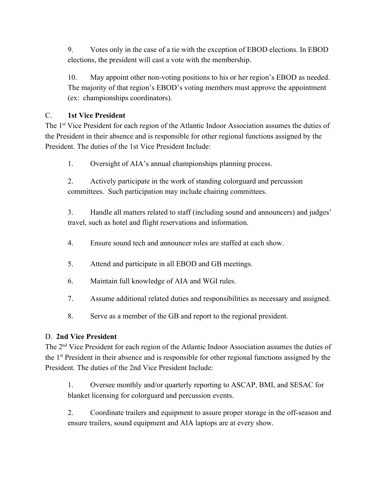9. Votes only in the case of a tie with the exception of EBOD elections. In EBOD elections, the president will cast a vote with the membership.

10. May appoint other non-voting positions to his or her region's EBOD as needed. The majority of that region's EBOD's voting members must approve the appointment (ex: championships coordinators).

## C. **1st Vice President**

The 1<sup>st</sup> Vice President for each region of the Atlantic Indoor Association assumes the duties of the President in their absence and is responsible for other regional functions assigned by the President. The duties of the 1st Vice President Include:

1. Oversight of AIA's annual championships planning process.

2. Actively participate in the work of standing colorguard and percussion committees. Such participation may include chairing committees.

3. Handle all matters related to staff (including sound and announcers) and judges' travel, such as hotel and flight reservations and information.

- 4. Ensure sound tech and announcer roles are staffed at each show.
- 5. Attend and participate in all EBOD and GB meetings.
- 6. Maintain full knowledge of AIA and WGI rules.
- 7. Assume additional related duties and responsibilities as necessary and assigned.
- 8. Serve as a member of the GB and report to the regional president.

### D. **2nd Vice President**

The 2<sup>nd</sup> Vice President for each region of the Atlantic Indoor Association assumes the duties of the 1<sup>st</sup> President in their absence and is responsible for other regional functions assigned by the President. The duties of the 2nd Vice President Include:

1. Oversee monthly and/or quarterly reporting to ASCAP, BMI, and SESAC for blanket licensing for colorguard and percussion events.

2. Coordinate trailers and equipment to assure proper storage in the off-season and ensure trailers, sound equipment and AIA laptops are at every show.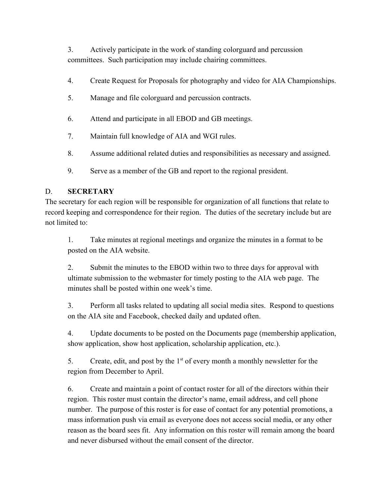3. Actively participate in the work of standing colorguard and percussion committees. Such participation may include chairing committees.

- 4. Create Request for Proposals for photography and video for AIA Championships.
- 5. Manage and file colorguard and percussion contracts.
- 6. Attend and participate in all EBOD and GB meetings.
- 7. Maintain full knowledge of AIA and WGI rules.
- 8. Assume additional related duties and responsibilities as necessary and assigned.
- 9. Serve as a member of the GB and report to the regional president.

#### D. **SECRETARY**

The secretary for each region will be responsible for organization of all functions that relate to record keeping and correspondence for their region. The duties of the secretary include but are not limited to:

1. Take minutes at regional meetings and organize the minutes in a format to be posted on the AIA website.

2. Submit the minutes to the EBOD within two to three days for approval with ultimate submission to the webmaster for timely posting to the AIA web page. The minutes shall be posted within one week's time.

3. Perform all tasks related to updating all social media sites. Respond to questions on the AIA site and Facebook, checked daily and updated often.

4. Update documents to be posted on the Documents page (membership application, show application, show host application, scholarship application, etc.).

5. Create, edit, and post by the  $1<sup>st</sup>$  of every month a monthly newsletter for the region from December to April.

6. Create and maintain a point of contact roster for all of the directors within their region. This roster must contain the director's name, email address, and cell phone number. The purpose of this roster is for ease of contact for any potential promotions, a mass information push via email as everyone does not access social media, or any other reason as the board sees fit. Any information on this roster will remain among the board and never disbursed without the email consent of the director.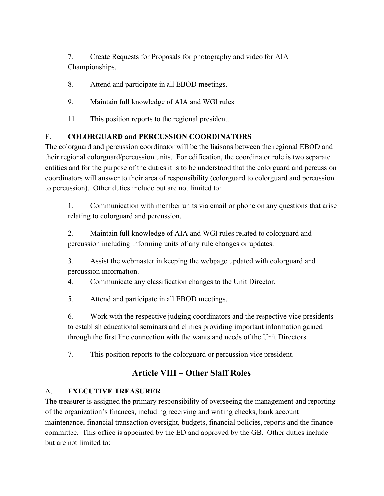7. Create Requests for Proposals for photography and video for AIA Championships.

- 8. Attend and participate in all EBOD meetings.
- 9. Maintain full knowledge of AIA and WGI rules
- 11. This position reports to the regional president.

### F. **COLORGUARD and PERCUSSION COORDINATORS**

The colorguard and percussion coordinator will be the liaisons between the regional EBOD and their regional colorguard/percussion units. For edification, the coordinator role is two separate entities and for the purpose of the duties it is to be understood that the colorguard and percussion coordinators will answer to their area of responsibility (colorguard to colorguard and percussion to percussion). Other duties include but are not limited to:

1. Communication with member units via email or phone on any questions that arise relating to colorguard and percussion.

2. Maintain full knowledge of AIA and WGI rules related to colorguard and percussion including informing units of any rule changes or updates.

3. Assist the webmaster in keeping the webpage updated with colorguard and percussion information.

4. Communicate any classification changes to the Unit Director.

5. Attend and participate in all EBOD meetings.

6. Work with the respective judging coordinators and the respective vice presidents to establish educational seminars and clinics providing important information gained through the first line connection with the wants and needs of the Unit Directors.

7. This position reports to the colorguard or percussion vice president.

# **Article VIII – Other Staff Roles**

### A. **EXECUTIVE TREASURER**

The treasurer is assigned the primary responsibility of overseeing the management and reporting of the organization's finances, including receiving and writing checks, bank account maintenance, financial transaction oversight, budgets, financial policies, reports and the finance committee. This office is appointed by the ED and approved by the GB. Other duties include but are not limited to: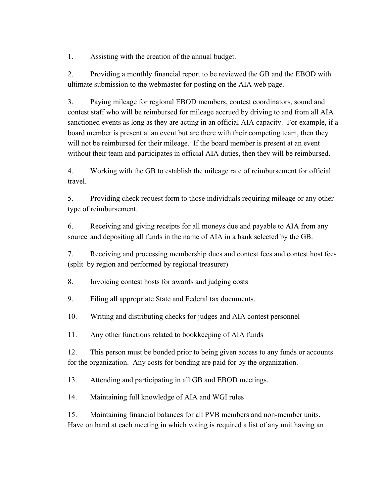1. Assisting with the creation of the annual budget.

2. Providing a monthly financial report to be reviewed the GB and the EBOD with ultimate submission to the webmaster for posting on the AIA web page.

3. Paying mileage for regional EBOD members, contest coordinators, sound and contest staff who will be reimbursed for mileage accrued by driving to and from all AIA sanctioned events as long as they are acting in an official AIA capacity. For example, if a board member is present at an event but are there with their competing team, then they will not be reimbursed for their mileage. If the board member is present at an event without their team and participates in official AIA duties, then they will be reimbursed.

4. Working with the GB to establish the mileage rate of reimbursement for official travel.

5. Providing check request form to those individuals requiring mileage or any other type of reimbursement.

6. Receiving and giving receipts for all moneys due and payable to AIA from any source and depositing all funds in the name of AIA in a bank selected by the GB.

7. Receiving and processing membership dues and contest fees and contest host fees (split by region and performed by regional treasurer)

8. Invoicing contest hosts for awards and judging costs

9. Filing all appropriate State and Federal tax documents.

10. Writing and distributing checks for judges and AIA contest personnel

11. Any other functions related to bookkeeping of AIA funds

12. This person must be bonded prior to being given access to any funds or accounts for the organization. Any costs for bonding are paid for by the organization.

13. Attending and participating in all GB and EBOD meetings.

14. Maintaining full knowledge of AIA and WGI rules

15. Maintaining financial balances for all PVB members and non-member units. Have on hand at each meeting in which voting is required a list of any unit having an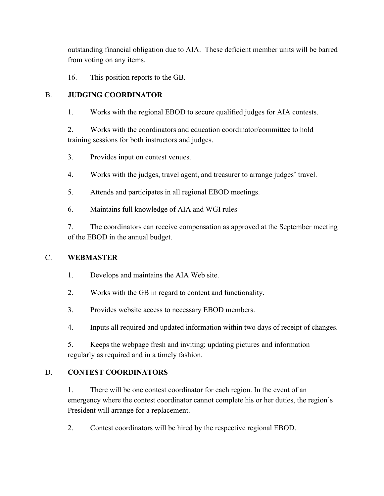outstanding financial obligation due to AIA. These deficient member units will be barred from voting on any items.

16. This position reports to the GB.

## B. **JUDGING COORDINATOR**

1. Works with the regional EBOD to secure qualified judges for AIA contests.

2. Works with the coordinators and education coordinator/committee to hold training sessions for both instructors and judges.

3. Provides input on contest venues.

4. Works with the judges, travel agent, and treasurer to arrange judges' travel.

- 5. Attends and participates in all regional EBOD meetings.
- 6. Maintains full knowledge of AIA and WGI rules

7. The coordinators can receive compensation as approved at the September meeting of the EBOD in the annual budget.

### C. **WEBMASTER**

- 1. Develops and maintains the AIA Web site.
- 2. Works with the GB in regard to content and functionality.
- 3. Provides website access to necessary EBOD members.
- 4. Inputs all required and updated information within two days of receipt of changes.

5. Keeps the webpage fresh and inviting; updating pictures and information regularly as required and in a timely fashion.

## D. **CONTEST COORDINATORS**

1. There will be one contest coordinator for each region. In the event of an emergency where the contest coordinator cannot complete his or her duties, the region's President will arrange for a replacement.

2. Contest coordinators will be hired by the respective regional EBOD.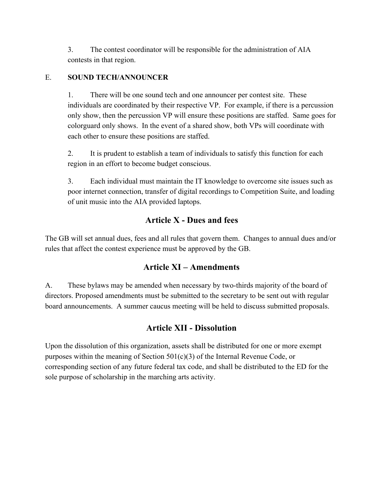3. The contest coordinator will be responsible for the administration of AIA contests in that region.

### E. **SOUND TECH/ANNOUNCER**

1. There will be one sound tech and one announcer per contest site. These individuals are coordinated by their respective VP. For example, if there is a percussion only show, then the percussion VP will ensure these positions are staffed. Same goes for colorguard only shows. In the event of a shared show, both VPs will coordinate with each other to ensure these positions are staffed.

2. It is prudent to establish a team of individuals to satisfy this function for each region in an effort to become budget conscious.

3. Each individual must maintain the IT knowledge to overcome site issues such as poor internet connection, transfer of digital recordings to Competition Suite, and loading of unit music into the AIA provided laptops.

## **Article X - Dues and fees**

The GB will set annual dues, fees and all rules that govern them. Changes to annual dues and/or rules that affect the contest experience must be approved by the GB.

## **Article XI – Amendments**

A. These bylaws may be amended when necessary by two-thirds majority of the board of directors. Proposed amendments must be submitted to the secretary to be sent out with regular board announcements. A summer caucus meeting will be held to discuss submitted proposals.

## **Article XII - Dissolution**

Upon the dissolution of this organization, assets shall be distributed for one or more exempt purposes within the meaning of Section  $501(c)(3)$  of the Internal Revenue Code, or corresponding section of any future federal tax code, and shall be distributed to the ED for the sole purpose of scholarship in the marching arts activity.